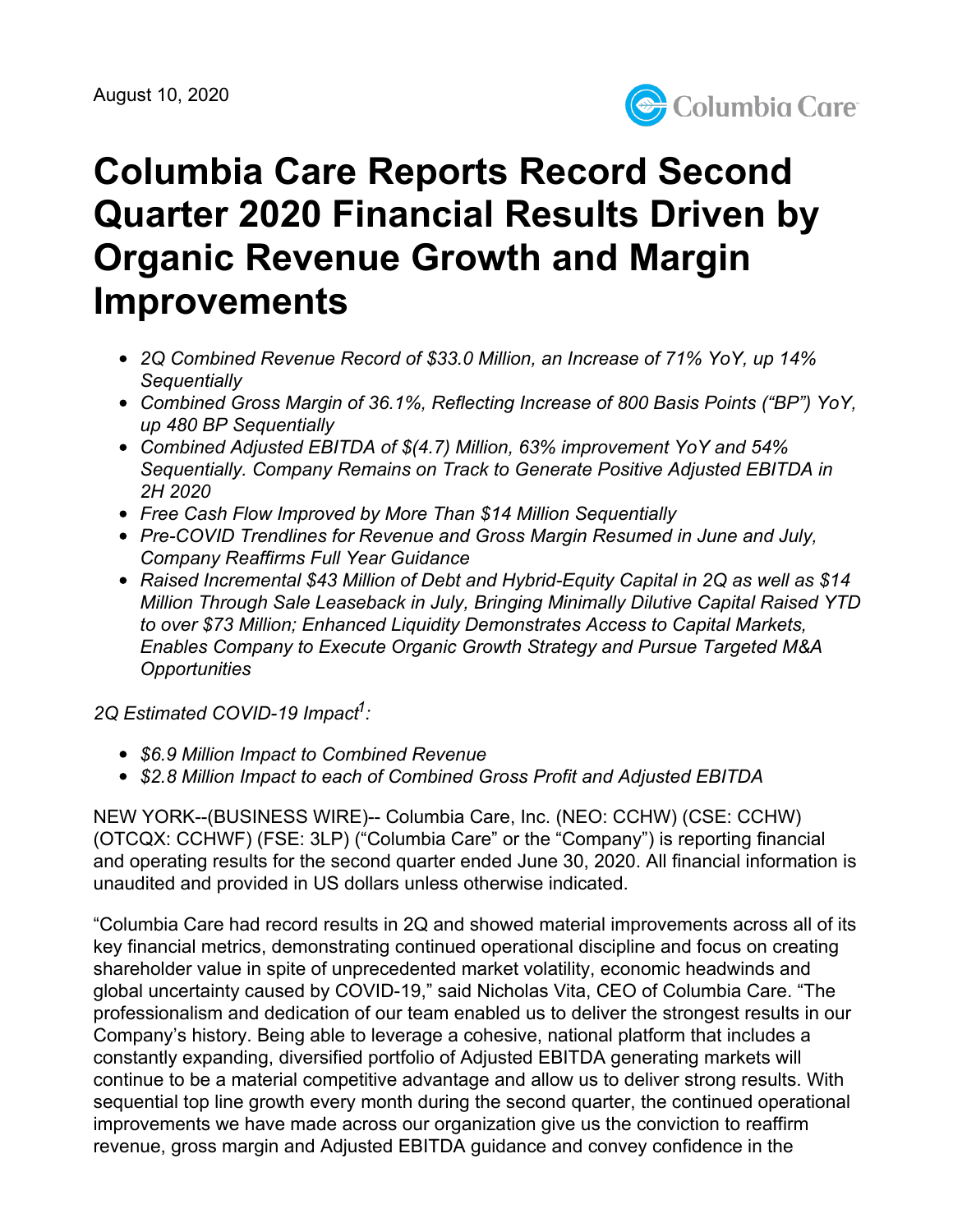

# **Columbia Care Reports Record Second Quarter 2020 Financial Results Driven by Organic Revenue Growth and Margin Improvements**

- *2Q Combined Revenue Record of \$33.0 Million, an Increase of 71% YoY, up 14% Sequentially*
- *Combined Gross Margin of 36.1%, Reflecting Increase of 800 Basis Points ("BP") YoY, up 480 BP Sequentially*
- *Combined Adjusted EBITDA of \$(4.7) Million, 63% improvement YoY and 54% Sequentially. Company Remains on Track to Generate Positive Adjusted EBITDA in 2H 2020*
- *Free Cash Flow Improved by More Than \$14 Million Sequentially*
- *Pre-COVID Trendlines for Revenue and Gross Margin Resumed in June and July, Company Reaffirms Full Year Guidance*
- *Raised Incremental \$43 Million of Debt and Hybrid-Equity Capital in 2Q as well as \$14 Million Through Sale Leaseback in July, Bringing Minimally Dilutive Capital Raised YTD to over \$73 Million; Enhanced Liquidity Demonstrates Access to Capital Markets, Enables Company to Execute Organic Growth Strategy and Pursue Targeted M&A Opportunities*

*2Q Estimated COVID-19 Impact 1 :*

- *\$6.9 Million Impact to Combined Revenue*
- *\$2.8 Million Impact to each of Combined Gross Profit and Adjusted EBITDA*

NEW YORK--(BUSINESS WIRE)-- Columbia Care, Inc. (NEO: CCHW) (CSE: CCHW) (OTCQX: CCHWF) (FSE: 3LP) ("Columbia Care" or the "Company") is reporting financial and operating results for the second quarter ended June 30, 2020. All financial information is unaudited and provided in US dollars unless otherwise indicated.

"Columbia Care had record results in 2Q and showed material improvements across all of its key financial metrics, demonstrating continued operational discipline and focus on creating shareholder value in spite of unprecedented market volatility, economic headwinds and global uncertainty caused by COVID-19," said Nicholas Vita, CEO of Columbia Care. "The professionalism and dedication of our team enabled us to deliver the strongest results in our Company's history. Being able to leverage a cohesive, national platform that includes a constantly expanding, diversified portfolio of Adjusted EBITDA generating markets will continue to be a material competitive advantage and allow us to deliver strong results. With sequential top line growth every month during the second quarter, the continued operational improvements we have made across our organization give us the conviction to reaffirm revenue, gross margin and Adjusted EBITDA guidance and convey confidence in the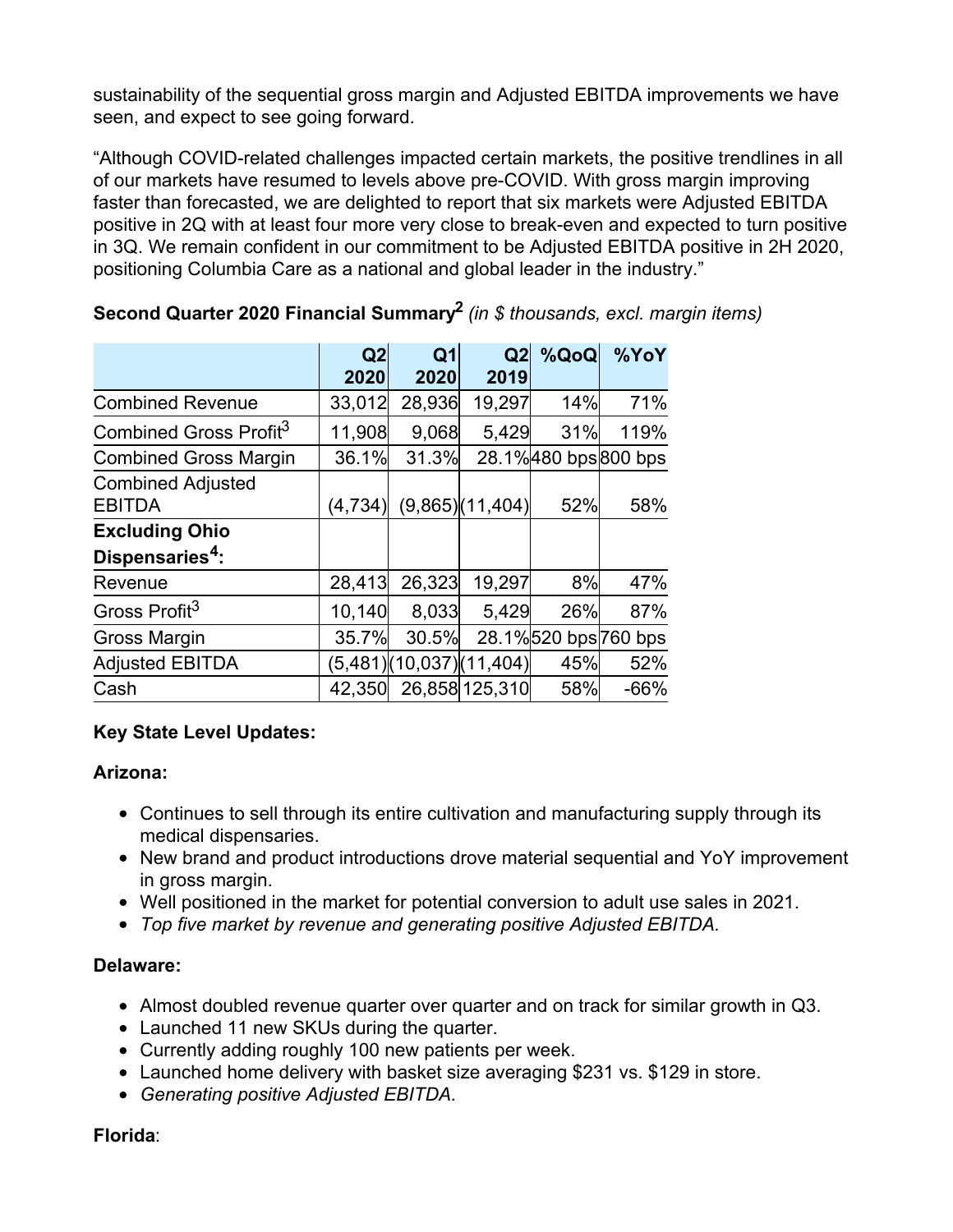sustainability of the sequential gross margin and Adjusted EBITDA improvements we have seen, and expect to see going forward.

"Although COVID-related challenges impacted certain markets, the positive trendlines in all of our markets have resumed to levels above pre-COVID. With gross margin improving faster than forecasted, we are delighted to report that six markets were Adjusted EBITDA positive in 2Q with at least four more very close to break-even and expected to turn positive in 3Q. We remain confident in our commitment to be Adjusted EBITDA positive in 2H 2020, positioning Columbia Care as a national and global leader in the industry."

|                                    | Q2       | Q <sub>1</sub> | Q2                | %QoQ | %YoY                 |
|------------------------------------|----------|----------------|-------------------|------|----------------------|
|                                    | 2020     | 2020           | 2019              |      |                      |
| <b>Combined Revenue</b>            | 33,012   | 28,936         | 19,297            | 14%  | 71%                  |
| Combined Gross Profit <sup>3</sup> | 11,908   | 9,068          | 5.429             | 31%  | 119%                 |
| <b>Combined Gross Margin</b>       | 36.1%    | 31.3%          |                   |      | 28.1%480 bps 800 bps |
| <b>Combined Adjusted</b>           |          |                |                   |      |                      |
| <b>EBITDA</b>                      | (4, 734) |                | (9,865)(11,404)   | 52%  | 58%                  |
| <b>Excluding Ohio</b>              |          |                |                   |      |                      |
| Dispensaries <sup>4</sup> :        |          |                |                   |      |                      |
| Revenue                            | 28,413   | 26,323         | 19,297            | 8%   | 47%                  |
| Gross Profit <sup>3</sup>          | 10,140   | 8.033          | 5.429             | 26%  | 87%                  |
| Gross Margin                       | 35.7%    | 30.5%          |                   |      | 28.1%520 bps 760 bps |
| <b>Adjusted EBITDA</b>             | (5, 481) |                | (10,037) (11,404) | 45%  | 52%                  |
| Cash                               | 42,350   |                | 26,858 125,310    | 58%  | $-66%$               |

## **Second Quarter 2020 Financial Summary 2** *(in \$ thousands, excl. margin items)*

## **Key State Level Updates:**

## **Arizona:**

- Continues to sell through its entire cultivation and manufacturing supply through its medical dispensaries.
- New brand and product introductions drove material sequential and YoY improvement in gross margin.
- Well positioned in the market for potential conversion to adult use sales in 2021.
- *Top five market by revenue and generating positive Adjusted EBITDA.*

## **Delaware:**

- Almost doubled revenue quarter over quarter and on track for similar growth in Q3.
- Launched 11 new SKUs during the quarter.
- Currently adding roughly 100 new patients per week.
- Launched home delivery with basket size averaging \$231 vs. \$129 in store.
- *Generating positive Adjusted EBITDA.*

## **Florida**: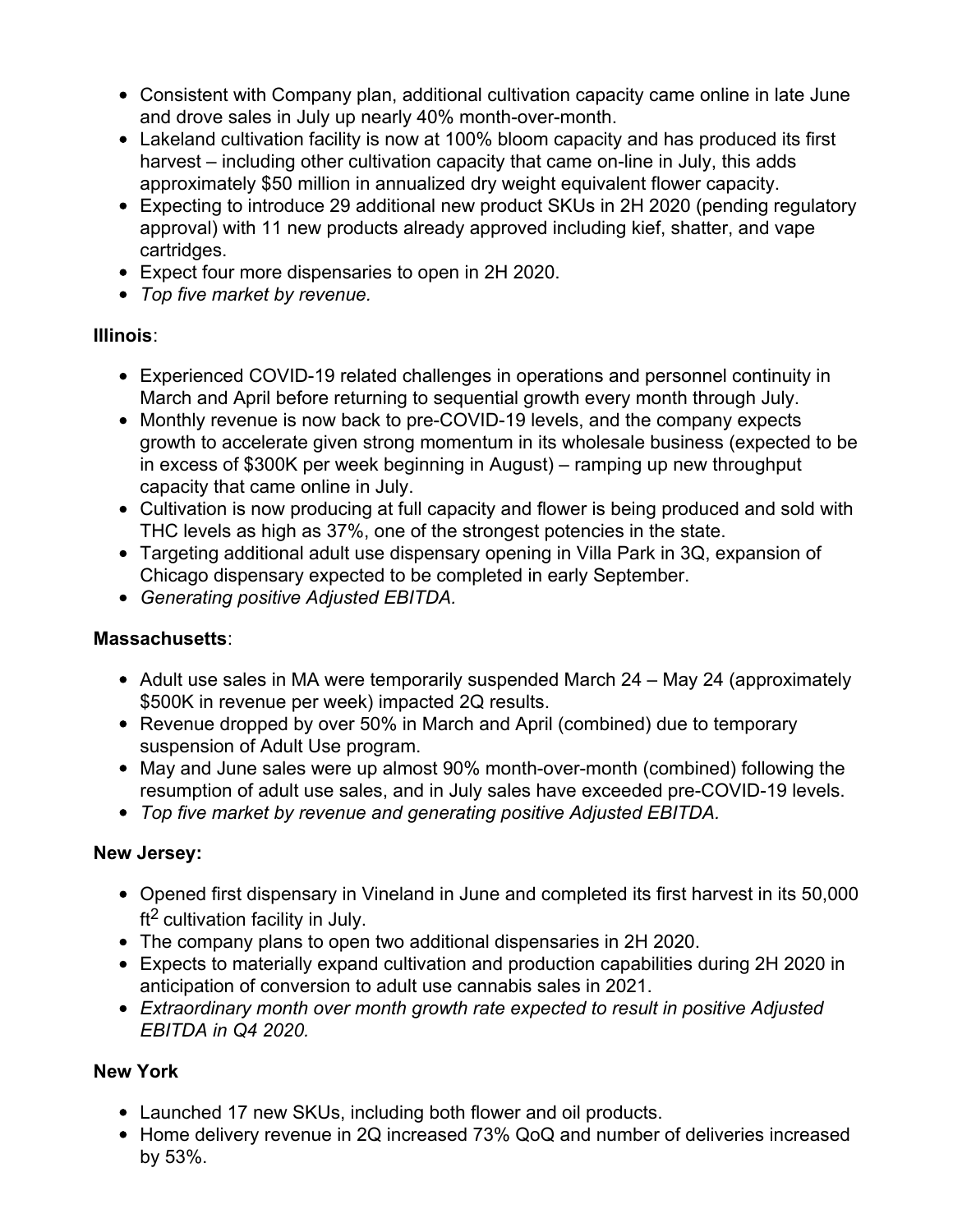- Consistent with Company plan, additional cultivation capacity came online in late June and drove sales in July up nearly 40% month-over-month.
- Lakeland cultivation facility is now at 100% bloom capacity and has produced its first harvest – including other cultivation capacity that came on-line in July, this adds approximately \$50 million in annualized dry weight equivalent flower capacity.
- Expecting to introduce 29 additional new product SKUs in 2H 2020 (pending regulatory approval) with 11 new products already approved including kief, shatter, and vape cartridges.
- Expect four more dispensaries to open in 2H 2020.
- *Top five market by revenue.*

## **Illinois**:

- Experienced COVID-19 related challenges in operations and personnel continuity in March and April before returning to sequential growth every month through July.
- Monthly revenue is now back to pre-COVID-19 levels, and the company expects growth to accelerate given strong momentum in its wholesale business (expected to be in excess of \$300K per week beginning in August) – ramping up new throughput capacity that came online in July.
- Cultivation is now producing at full capacity and flower is being produced and sold with THC levels as high as 37%, one of the strongest potencies in the state.
- Targeting additional adult use dispensary opening in Villa Park in 3Q, expansion of Chicago dispensary expected to be completed in early September.
- *Generating positive Adjusted EBITDA.*

## **Massachusetts**:

- Adult use sales in MA were temporarily suspended March 24 May 24 (approximately \$500K in revenue per week) impacted 2Q results.
- Revenue dropped by over 50% in March and April (combined) due to temporary suspension of Adult Use program.
- May and June sales were up almost 90% month-over-month (combined) following the resumption of adult use sales, and in July sales have exceeded pre-COVID-19 levels.
- *Top five market by revenue and generating positive Adjusted EBITDA.*

## **New Jersey:**

- Opened first dispensary in Vineland in June and completed its first harvest in its 50,000 ft<sup>2</sup> cultivation facility in July.
- The company plans to open two additional dispensaries in 2H 2020.
- Expects to materially expand cultivation and production capabilities during 2H 2020 in anticipation of conversion to adult use cannabis sales in 2021.
- *Extraordinary month over month growth rate expected to result in positive Adjusted EBITDA in Q4 2020.*

# **New York**

- Launched 17 new SKUs, including both flower and oil products.
- Home delivery revenue in 2Q increased 73% QoQ and number of deliveries increased by 53%.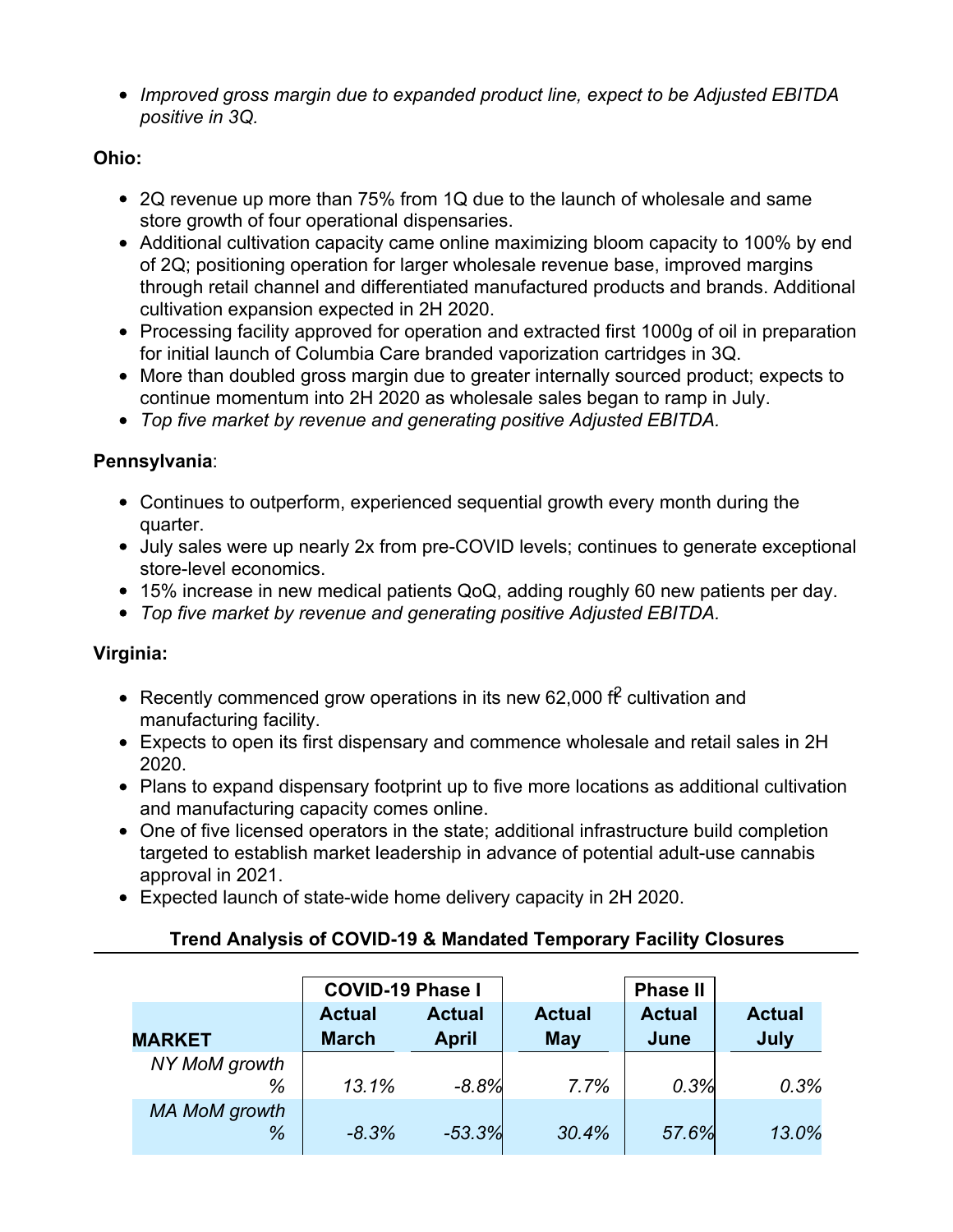*Improved gross margin due to expanded product line, expect to be Adjusted EBITDA positive in 3Q.*

## **Ohio:**

- 2Q revenue up more than 75% from 1Q due to the launch of wholesale and same store growth of four operational dispensaries.
- Additional cultivation capacity came online maximizing bloom capacity to 100% by end of 2Q; positioning operation for larger wholesale revenue base, improved margins through retail channel and differentiated manufactured products and brands. Additional cultivation expansion expected in 2H 2020.
- Processing facility approved for operation and extracted first 1000g of oil in preparation for initial launch of Columbia Care branded vaporization cartridges in 3Q.
- More than doubled gross margin due to greater internally sourced product; expects to continue momentum into 2H 2020 as wholesale sales began to ramp in July.
- *Top five market by revenue and generating positive Adjusted EBITDA.*

## **Pennsylvania**:

- Continues to outperform, experienced sequential growth every month during the quarter.
- July sales were up nearly 2x from pre-COVID levels; continues to generate exceptional store-level economics.
- 15% increase in new medical patients QoQ, adding roughly 60 new patients per day.
- *Top five market by revenue and generating positive Adjusted EBITDA.*

## **Virginia:**

- Recently commenced grow operations in its new 62,000 f $\hat{f}$  cultivation and manufacturing facility.
- Expects to open its first dispensary and commence wholesale and retail sales in 2H 2020.
- Plans to expand dispensary footprint up to five more locations as additional cultivation and manufacturing capacity comes online.
- One of five licensed operators in the state; additional infrastructure build completion targeted to establish market leadership in advance of potential adult-use cannabis approval in 2021.
- Expected launch of state-wide home delivery capacity in 2H 2020.

## **Trend Analysis of COVID-19 & Mandated Temporary Facility Closures**

|                      | <b>COVID-19 Phase I</b> |               |               | <b>Phase II</b> |               |
|----------------------|-------------------------|---------------|---------------|-----------------|---------------|
|                      | <b>Actual</b>           | <b>Actual</b> | <b>Actual</b> | <b>Actual</b>   | <b>Actual</b> |
| <b>MARKET</b>        | <b>March</b>            | <b>April</b>  | May           | June            | July          |
| NY MoM growth        |                         |               |               |                 |               |
| ℅                    | 13.1%                   | $-8.8%$       | 7.7%          | 0.3%            | 0.3%          |
| <b>MA MoM growth</b> |                         |               |               |                 |               |
| %                    | $-8.3%$                 | $-53.3%$      | 30.4%         | 57.6%           | 13.0%         |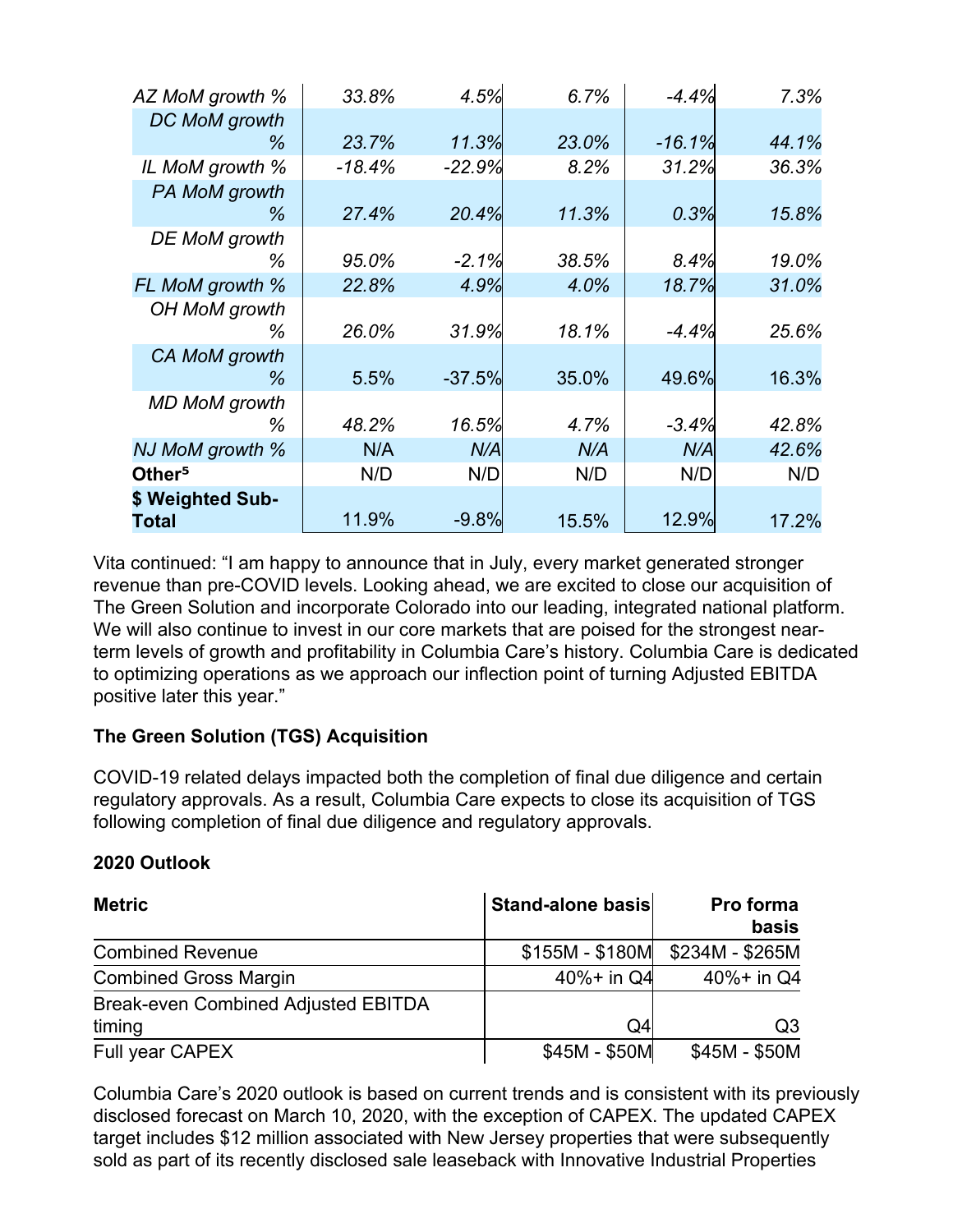| AZ MoM growth %      | 33.8%    | 4.5%     | 6.7%  | $-4.4%$  | 7.3%  |
|----------------------|----------|----------|-------|----------|-------|
| DC MoM growth        |          |          |       |          |       |
| $\%$                 | 23.7%    | 11.3%    | 23.0% | $-16.1%$ | 44.1% |
| IL MoM growth %      | $-18.4%$ | $-22.9%$ | 8.2%  | 31.2%    | 36.3% |
| PA MoM growth        |          |          |       |          |       |
| $\%$                 | 27.4%    | 20.4%    | 11.3% | 0.3%     | 15.8% |
| DE MoM growth        |          |          |       |          |       |
| %                    | 95.0%    | $-2.1%$  | 38.5% | 8.4%     | 19.0% |
| FL MoM growth %      | 22.8%    | 4.9%     | 4.0%  | 18.7%    | 31.0% |
| OH MoM growth        |          |          |       |          |       |
| %                    | 26.0%    | 31.9%    | 18.1% | $-4.4%$  | 25.6% |
| CA MoM growth        |          |          |       |          |       |
| $\%$                 | 5.5%     | $-37.5%$ | 35.0% | 49.6%    | 16.3% |
| <b>MD MoM growth</b> |          |          |       |          |       |
| ℅                    | 48.2%    | 16.5%    | 4.7%  | $-3.4%$  | 42.8% |
| NJ MoM growth %      | N/A      | N/A      | N/A   | N/A      | 42.6% |
| Other <sup>5</sup>   | N/D      | N/D      | N/D   | N/D      | N/D   |
| \$ Weighted Sub-     |          |          |       |          |       |
| <b>Total</b>         | 11.9%    | $-9.8%$  | 15.5% | 12.9%    | 17.2% |

Vita continued: "I am happy to announce that in July, every market generated stronger revenue than pre-COVID levels. Looking ahead, we are excited to close our acquisition of The Green Solution and incorporate Colorado into our leading, integrated national platform. We will also continue to invest in our core markets that are poised for the strongest nearterm levels of growth and profitability in Columbia Care's history. Columbia Care is dedicated to optimizing operations as we approach our inflection point of turning Adjusted EBITDA positive later this year."

## **The Green Solution (TGS) Acquisition**

COVID-19 related delays impacted both the completion of final due diligence and certain regulatory approvals. As a result, Columbia Care expects to close its acquisition of TGS following completion of final due diligence and regulatory approvals.

## **2020 Outlook**

| <b>Metric</b>                              | Stand-alone basis | Pro forma<br>basis |
|--------------------------------------------|-------------------|--------------------|
| <b>Combined Revenue</b>                    | \$155M - \$180M   | \$234M - \$265M    |
| <b>Combined Gross Margin</b>               | $40\% + in Q4$    | $40\% + in Q4$     |
| <b>Break-even Combined Adjusted EBITDA</b> |                   |                    |
| timing                                     | Q <sub>4</sub>    | Q3                 |
| Full year CAPEX                            | \$45M - \$50M     | $$45M - $50M$      |

Columbia Care's 2020 outlook is based on current trends and is consistent with its previously disclosed forecast on March 10, 2020, with the exception of CAPEX. The updated CAPEX target includes \$12 million associated with New Jersey properties that were subsequently sold as part of its recently disclosed sale leaseback with Innovative Industrial Properties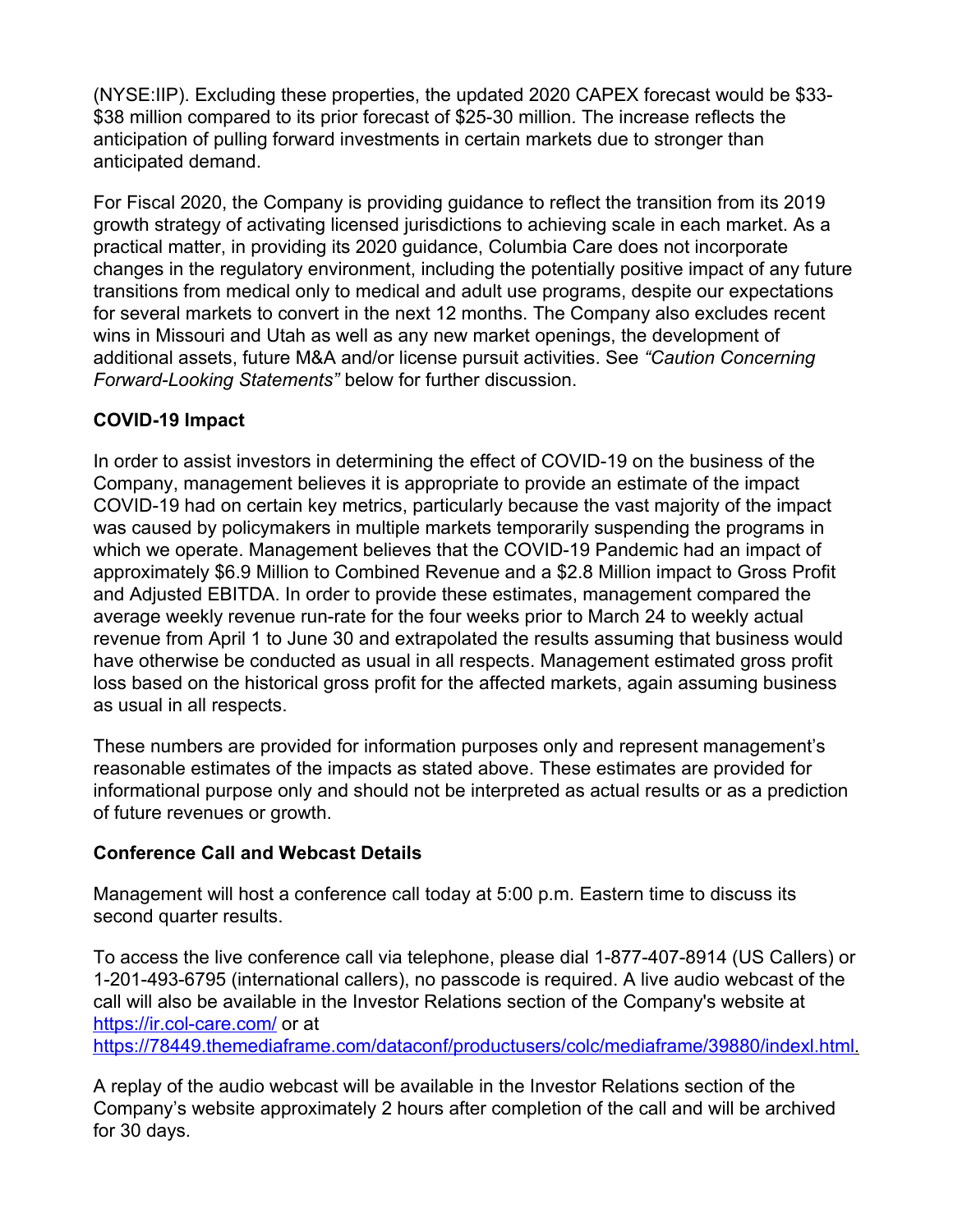(NYSE:IIP). Excluding these properties, the updated 2020 CAPEX forecast would be \$33- \$38 million compared to its prior forecast of \$25-30 million. The increase reflects the anticipation of pulling forward investments in certain markets due to stronger than anticipated demand.

For Fiscal 2020, the Company is providing guidance to reflect the transition from its 2019 growth strategy of activating licensed jurisdictions to achieving scale in each market. As a practical matter, in providing its 2020 guidance, Columbia Care does not incorporate changes in the regulatory environment, including the potentially positive impact of any future transitions from medical only to medical and adult use programs, despite our expectations for several markets to convert in the next 12 months. The Company also excludes recent wins in Missouri and Utah as well as any new market openings, the development of additional assets, future M&A and/or license pursuit activities. See *"Caution Concerning Forward-Looking Statements"* below for further discussion.

## **COVID-19 Impact**

In order to assist investors in determining the effect of COVID-19 on the business of the Company, management believes it is appropriate to provide an estimate of the impact COVID-19 had on certain key metrics, particularly because the vast majority of the impact was caused by policymakers in multiple markets temporarily suspending the programs in which we operate. Management believes that the COVID-19 Pandemic had an impact of approximately \$6.9 Million to Combined Revenue and a \$2.8 Million impact to Gross Profit and Adjusted EBITDA. In order to provide these estimates, management compared the average weekly revenue run-rate for the four weeks prior to March 24 to weekly actual revenue from April 1 to June 30 and extrapolated the results assuming that business would have otherwise be conducted as usual in all respects. Management estimated gross profit loss based on the historical gross profit for the affected markets, again assuming business as usual in all respects.

These numbers are provided for information purposes only and represent management's reasonable estimates of the impacts as stated above. These estimates are provided for informational purpose only and should not be interpreted as actual results or as a prediction of future revenues or growth.

## **Conference Call and Webcast Details**

Management will host a conference call today at 5:00 p.m. Eastern time to discuss its second quarter results.

To access the live conference call via telephone, please dial 1-877-407-8914 (US Callers) or 1-201-493-6795 (international callers), no passcode is required. A live audio webcast of the call will also be available in the Investor Relations section of the Company's website at <https://ir.col-care.com/> or at

<https://78449.themediaframe.com/dataconf/productusers/colc/mediaframe/39880/indexl.html>.

A replay of the audio webcast will be available in the Investor Relations section of the Company's website approximately 2 hours after completion of the call and will be archived for 30 days.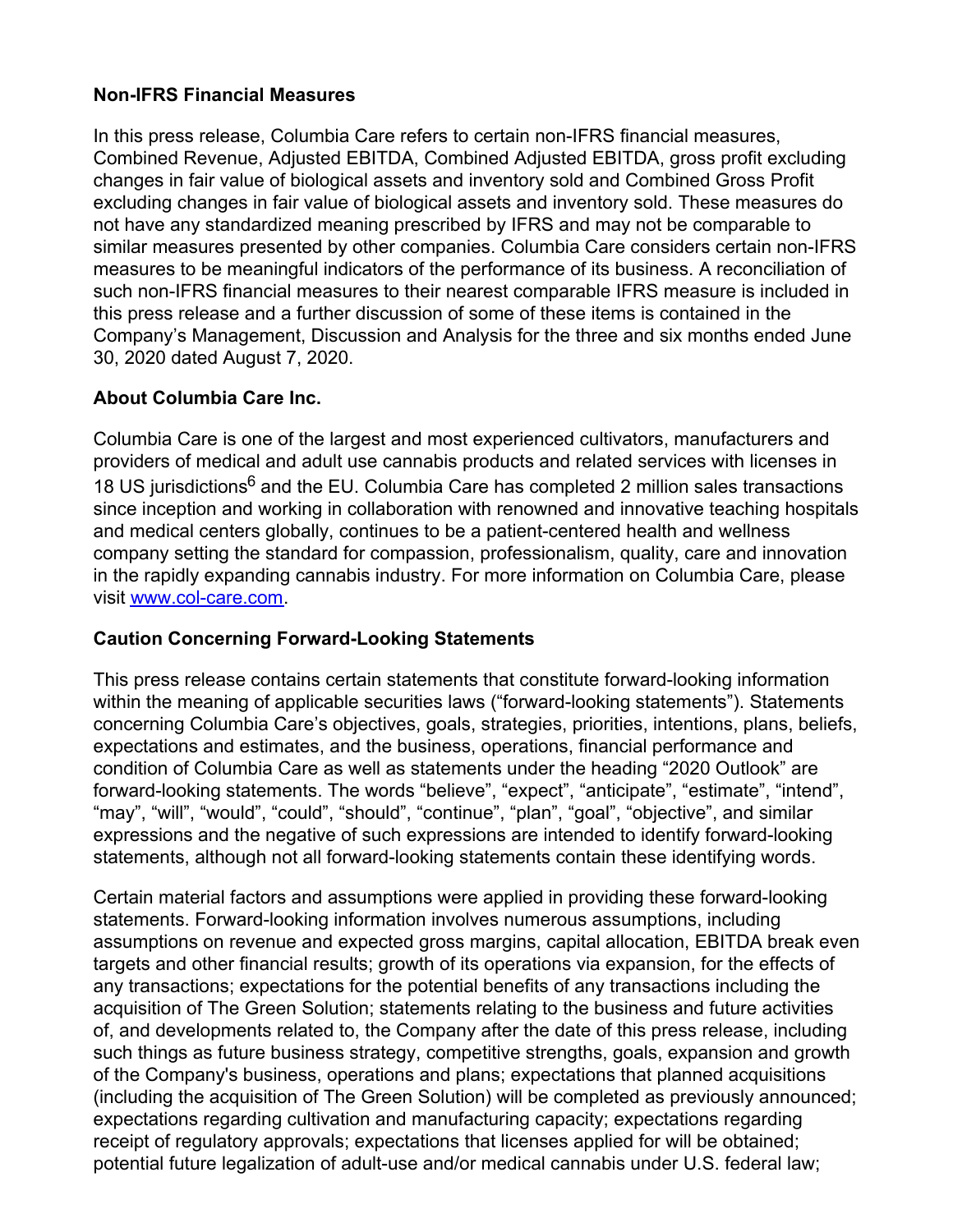## **Non-IFRS Financial Measures**

In this press release, Columbia Care refers to certain non-IFRS financial measures, Combined Revenue, Adjusted EBITDA, Combined Adjusted EBITDA, gross profit excluding changes in fair value of biological assets and inventory sold and Combined Gross Profit excluding changes in fair value of biological assets and inventory sold. These measures do not have any standardized meaning prescribed by IFRS and may not be comparable to similar measures presented by other companies. Columbia Care considers certain non-IFRS measures to be meaningful indicators of the performance of its business. A reconciliation of such non-IFRS financial measures to their nearest comparable IFRS measure is included in this press release and a further discussion of some of these items is contained in the Company's Management, Discussion and Analysis for the three and six months ended June 30, 2020 dated August 7, 2020.

#### **About Columbia Care Inc.**

Columbia Care is one of the largest and most experienced cultivators, manufacturers and providers of medical and adult use cannabis products and related services with licenses in 18 US jurisdictions<sup>6</sup> and the EU. Columbia Care has completed 2 million sales transactions since inception and working in collaboration with renowned and innovative teaching hospitals and medical centers globally, continues to be a patient-centered health and wellness company setting the standard for compassion, professionalism, quality, care and innovation in the rapidly expanding cannabis industry. For more information on Columbia Care, please visit [www.col-care.com](http://www.col-care.com).

#### **Caution Concerning Forward-Looking Statements**

This press release contains certain statements that constitute forward-looking information within the meaning of applicable securities laws ("forward-looking statements"). Statements concerning Columbia Care's objectives, goals, strategies, priorities, intentions, plans, beliefs, expectations and estimates, and the business, operations, financial performance and condition of Columbia Care as well as statements under the heading "2020 Outlook" are forward-looking statements. The words "believe", "expect", "anticipate", "estimate", "intend", "may", "will", "would", "could", "should", "continue", "plan", "goal", "objective", and similar expressions and the negative of such expressions are intended to identify forward-looking statements, although not all forward-looking statements contain these identifying words.

Certain material factors and assumptions were applied in providing these forward-looking statements. Forward-looking information involves numerous assumptions, including assumptions on revenue and expected gross margins, capital allocation, EBITDA break even targets and other financial results; growth of its operations via expansion, for the effects of any transactions; expectations for the potential benefits of any transactions including the acquisition of The Green Solution; statements relating to the business and future activities of, and developments related to, the Company after the date of this press release, including such things as future business strategy, competitive strengths, goals, expansion and growth of the Company's business, operations and plans; expectations that planned acquisitions (including the acquisition of The Green Solution) will be completed as previously announced; expectations regarding cultivation and manufacturing capacity; expectations regarding receipt of regulatory approvals; expectations that licenses applied for will be obtained; potential future legalization of adult-use and/or medical cannabis under U.S. federal law;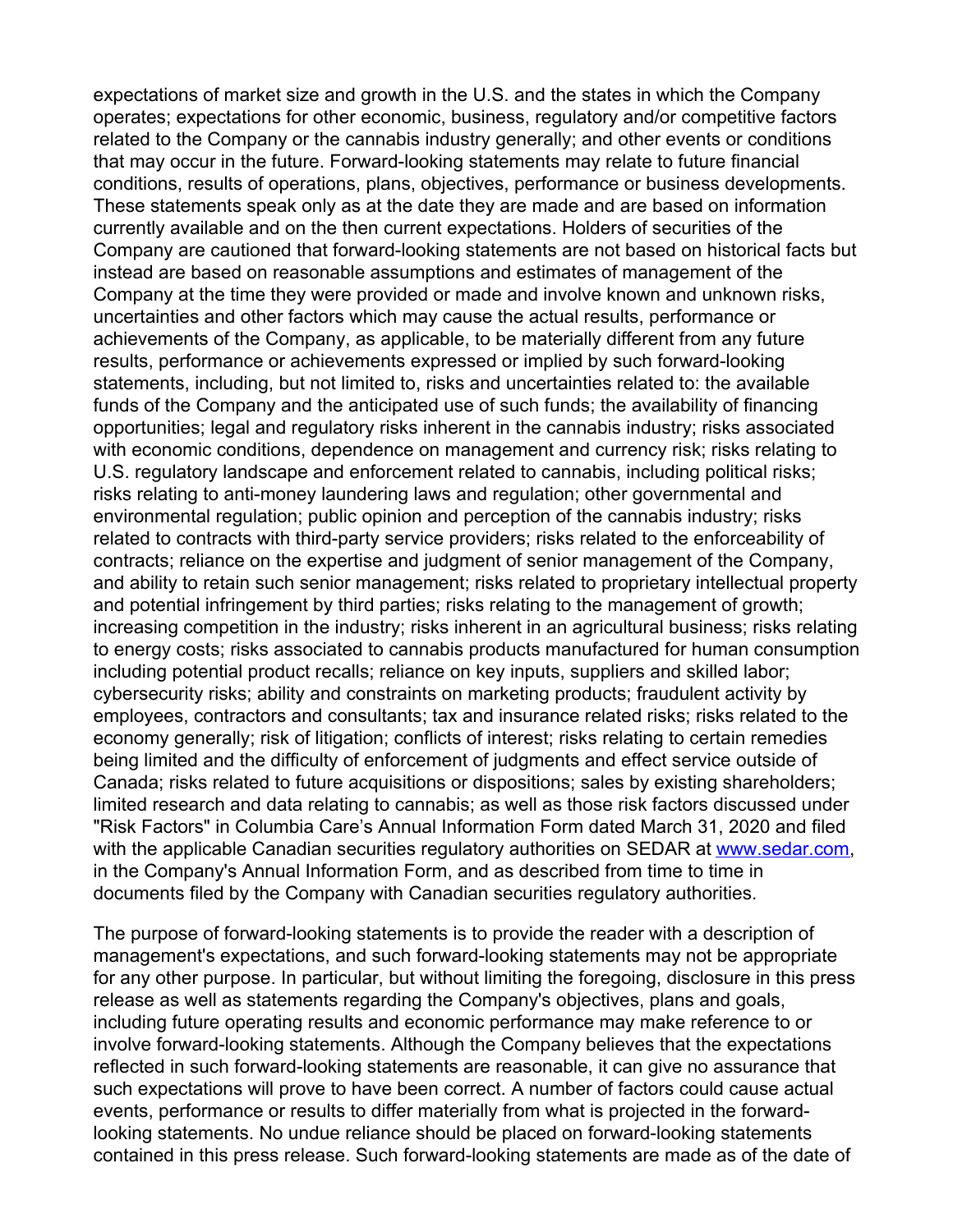expectations of market size and growth in the U.S. and the states in which the Company operates; expectations for other economic, business, regulatory and/or competitive factors related to the Company or the cannabis industry generally; and other events or conditions that may occur in the future. Forward-looking statements may relate to future financial conditions, results of operations, plans, objectives, performance or business developments. These statements speak only as at the date they are made and are based on information currently available and on the then current expectations. Holders of securities of the Company are cautioned that forward-looking statements are not based on historical facts but instead are based on reasonable assumptions and estimates of management of the Company at the time they were provided or made and involve known and unknown risks, uncertainties and other factors which may cause the actual results, performance or achievements of the Company, as applicable, to be materially different from any future results, performance or achievements expressed or implied by such forward-looking statements, including, but not limited to, risks and uncertainties related to: the available funds of the Company and the anticipated use of such funds; the availability of financing opportunities; legal and regulatory risks inherent in the cannabis industry; risks associated with economic conditions, dependence on management and currency risk; risks relating to U.S. regulatory landscape and enforcement related to cannabis, including political risks; risks relating to anti-money laundering laws and regulation; other governmental and environmental regulation; public opinion and perception of the cannabis industry; risks related to contracts with third-party service providers; risks related to the enforceability of contracts; reliance on the expertise and judgment of senior management of the Company, and ability to retain such senior management; risks related to proprietary intellectual property and potential infringement by third parties; risks relating to the management of growth; increasing competition in the industry; risks inherent in an agricultural business; risks relating to energy costs; risks associated to cannabis products manufactured for human consumption including potential product recalls; reliance on key inputs, suppliers and skilled labor; cybersecurity risks; ability and constraints on marketing products; fraudulent activity by employees, contractors and consultants; tax and insurance related risks; risks related to the economy generally; risk of litigation; conflicts of interest; risks relating to certain remedies being limited and the difficulty of enforcement of judgments and effect service outside of Canada; risks related to future acquisitions or dispositions; sales by existing shareholders; limited research and data relating to cannabis; as well as those risk factors discussed under "Risk Factors" in Columbia Care's Annual Information Form dated March 31, 2020 and filed with the applicable Canadian securities regulatory authorities on SEDAR at [www.sedar.com](http://www.sedar.com), in the Company's Annual Information Form, and as described from time to time in documents filed by the Company with Canadian securities regulatory authorities.

The purpose of forward-looking statements is to provide the reader with a description of management's expectations, and such forward-looking statements may not be appropriate for any other purpose. In particular, but without limiting the foregoing, disclosure in this press release as well as statements regarding the Company's objectives, plans and goals, including future operating results and economic performance may make reference to or involve forward-looking statements. Although the Company believes that the expectations reflected in such forward-looking statements are reasonable, it can give no assurance that such expectations will prove to have been correct. A number of factors could cause actual events, performance or results to differ materially from what is projected in the forwardlooking statements. No undue reliance should be placed on forward-looking statements contained in this press release. Such forward-looking statements are made as of the date of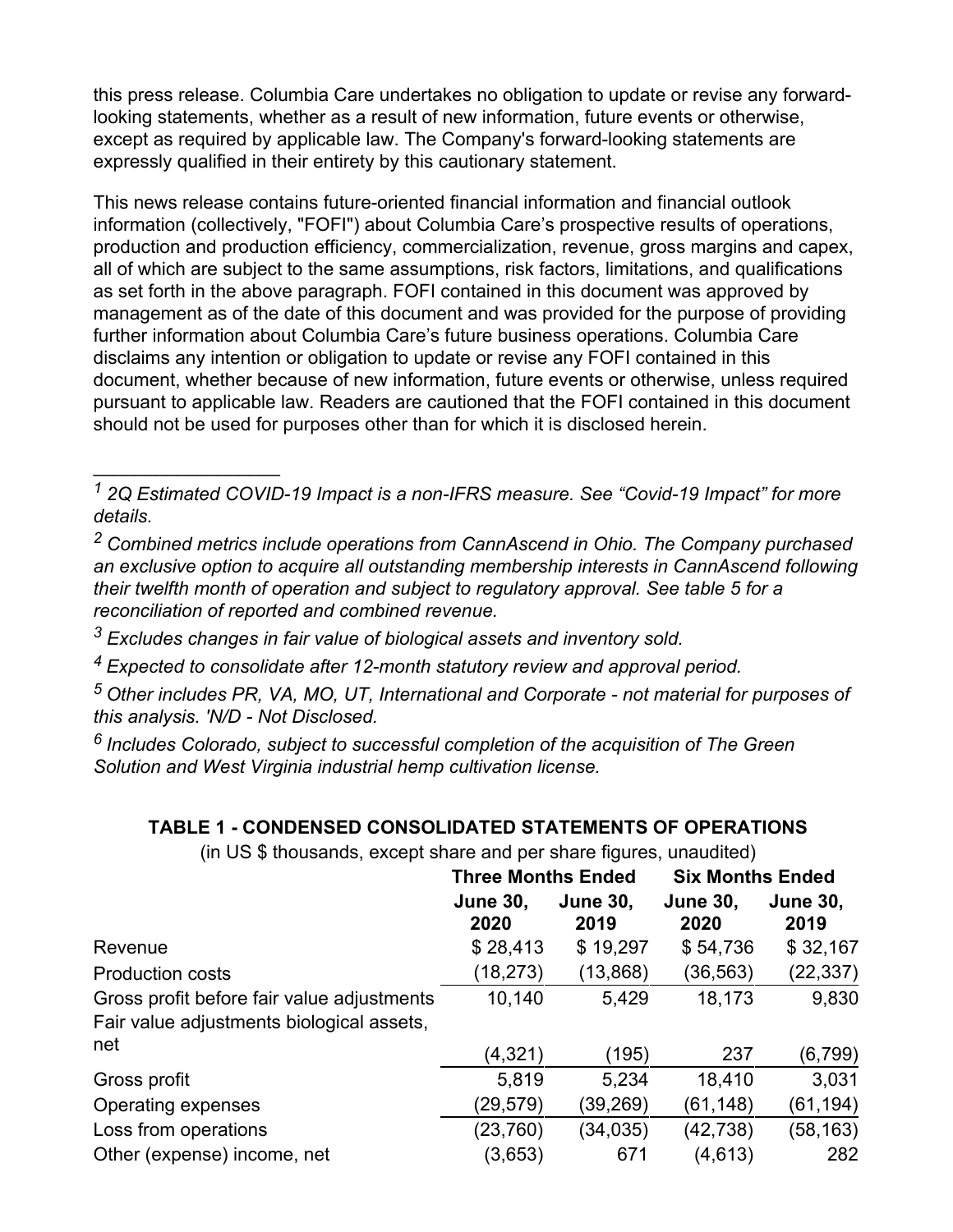this press release. Columbia Care undertakes no obligation to update or revise any forwardlooking statements, whether as a result of new information, future events or otherwise, except as required by applicable law. The Company's forward-looking statements are expressly qualified in their entirety by this cautionary statement.

This news release contains future-oriented financial information and financial outlook information (collectively, "FOFI") about Columbia Care's prospective results of operations, production and production efficiency, commercialization, revenue, gross margins and capex, all of which are subject to the same assumptions, risk factors, limitations, and qualifications as set forth in the above paragraph. FOFI contained in this document was approved by management as of the date of this document and was provided for the purpose of providing further information about Columbia Care's future business operations. Columbia Care disclaims any intention or obligation to update or revise any FOFI contained in this document, whether because of new information, future events or otherwise, unless required pursuant to applicable law. Readers are cautioned that the FOFI contained in this document should not be used for purposes other than for which it is disclosed herein.

*<sup>2</sup> Combined metrics include operations from CannAscend in Ohio. The Company purchased an exclusive option to acquire all outstanding membership interests in CannAscend following their twelfth month of operation and subject to regulatory approval. See table 5 for a reconciliation of reported and combined revenue.*

*<sup>3</sup> Excludes changes in fair value of biological assets and inventory sold.*

 $\overline{\phantom{a}}$  , and the set of the set of the set of the set of the set of the set of the set of the set of the set of the set of the set of the set of the set of the set of the set of the set of the set of the set of the s

*<sup>4</sup> Expected to consolidate after 12-month statutory review and approval period.*

*<sup>5</sup> Other includes PR, VA, MO, UT, International and Corporate - not material for purposes of this analysis. 'N/D - Not Disclosed.*

*6 Includes Colorado, subject to successful completion of the acquisition of The Green Solution and West Virginia industrial hemp cultivation license.*

## **TABLE 1 - CONDENSED CONSOLIDATED STATEMENTS OF OPERATIONS**

(in US \$ thousands, except share and per share figures, unaudited)

|                                            | <b>Three Months Ended</b> |                         | <b>Six Months Ended</b> |                         |
|--------------------------------------------|---------------------------|-------------------------|-------------------------|-------------------------|
|                                            | <b>June 30,</b><br>2020   | <b>June 30,</b><br>2019 | <b>June 30,</b><br>2020 | <b>June 30,</b><br>2019 |
| Revenue                                    | \$28,413                  | \$19,297                | \$54,736                | \$32,167                |
| <b>Production costs</b>                    | (18, 273)                 | (13,868)                | (36, 563)               | (22, 337)               |
| Gross profit before fair value adjustments | 10,140                    | 5,429                   | 18,173                  | 9,830                   |
| Fair value adjustments biological assets,  |                           |                         |                         |                         |
| net                                        | (4,321)                   | (195)                   | 237                     | (6, 799)                |
| Gross profit                               | 5,819                     | 5,234                   | 18,410                  | 3,031                   |
| Operating expenses                         | (29,579)                  | (39,269)                | (61,148)                | (61, 194)               |
| Loss from operations                       | (23, 760)                 | (34, 035)               | (42, 738)               | (58, 163)               |
| Other (expense) income, net                | (3,653)                   | 671                     | (4,613)                 | 282                     |

*<sup>1</sup> 2Q Estimated COVID-19 Impact is a non-IFRS measure. See "Covid-19 Impact" for more details.*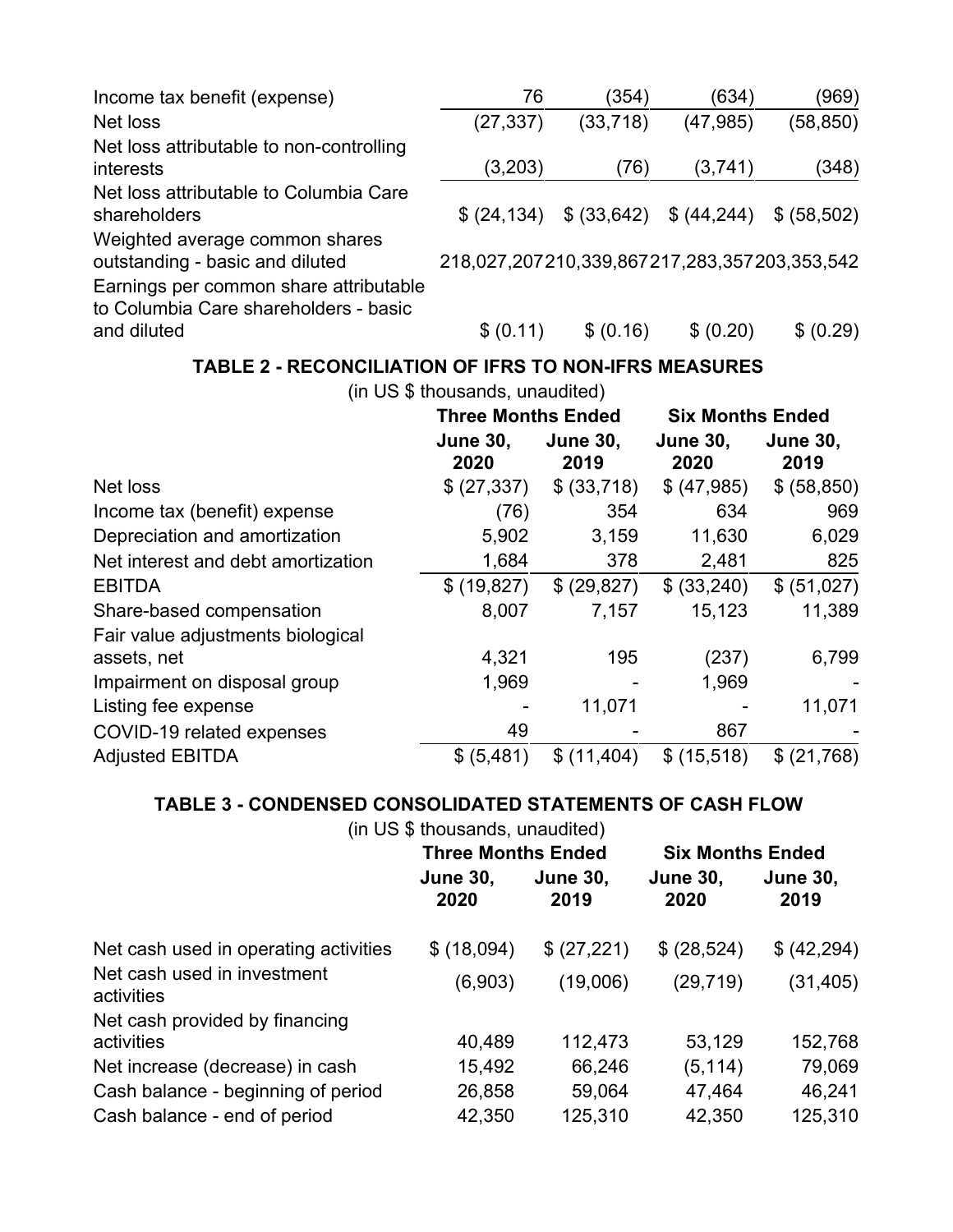| Income tax benefit (expense)                                                                   | 76                                           | (354)       | (634)       | (969)        |
|------------------------------------------------------------------------------------------------|----------------------------------------------|-------------|-------------|--------------|
| Net loss                                                                                       | (27, 337)                                    | (33, 718)   | (47, 985)   | (58, 850)    |
| Net loss attributable to non-controlling<br>interests                                          | (3,203)                                      | (76)        | (3,741)     | (348)        |
| Net loss attributable to Columbia Care<br>shareholders                                         | \$ (24, 134)                                 | \$ (33,642) | \$ (44,244) | \$ (58, 502) |
| Weighted average common shares<br>outstanding - basic and diluted                              | 218,027,207210,339,867217,283,357203,353,542 |             |             |              |
| Earnings per common share attributable<br>to Columbia Care shareholders - basic<br>and diluted | \$ (0.11)                                    | \$ (0.16)   | \$ (0.20)   | \$ (0.29)    |

## **TABLE 2 - RECONCILIATION OF IFRS TO NON-IFRS MEASURES**

(in US \$ thousands, unaudited)

|                                    | <b>Three Months Ended</b> |                         | <b>Six Months Ended</b> |                         |
|------------------------------------|---------------------------|-------------------------|-------------------------|-------------------------|
|                                    | <b>June 30,</b><br>2020   | <b>June 30,</b><br>2019 | <b>June 30,</b><br>2020 | <b>June 30,</b><br>2019 |
| Net loss                           | \$(27,337)                | \$ (33,718)             | \$ (47,985)             | \$ (58, 850)            |
| Income tax (benefit) expense       | (76)                      | 354                     | 634                     | 969                     |
| Depreciation and amortization      | 5,902                     | 3,159                   | 11,630                  | 6,029                   |
| Net interest and debt amortization | 1,684                     | 378                     | 2,481                   | 825                     |
| <b>EBITDA</b>                      | \$ (19,827)               | \$(29,827)              | \$ (33,240)             | \$ (51,027)             |
| Share-based compensation           | 8,007                     | 7,157                   | 15,123                  | 11,389                  |
| Fair value adjustments biological  |                           |                         |                         |                         |
| assets, net                        | 4,321                     | 195                     | (237)                   | 6,799                   |
| Impairment on disposal group       | 1,969                     |                         | 1,969                   |                         |
| Listing fee expense                |                           | 11,071                  |                         | 11,071                  |
| COVID-19 related expenses          | 49                        |                         | 867                     |                         |
| <b>Adjusted EBITDA</b>             | \$ (5,481)                | \$(11,404)              | \$ (15,518)             | \$ (21,768)             |

## **TABLE 3 - CONDENSED CONSOLIDATED STATEMENTS OF CASH FLOW**

(in US \$ thousands, unaudited)

|                                           | <b>Three Months Ended</b> |                         | <b>Six Months Ended</b> |                         |
|-------------------------------------------|---------------------------|-------------------------|-------------------------|-------------------------|
|                                           | <b>June 30,</b><br>2020   | <b>June 30,</b><br>2019 | <b>June 30,</b><br>2020 | <b>June 30,</b><br>2019 |
| Net cash used in operating activities     | \$ (18,094)               | \$ (27,221)             | \$ (28, 524)            | \$(42,294)              |
| Net cash used in investment<br>activities | (6,903)                   | (19,006)                | (29, 719)               | (31, 405)               |
| Net cash provided by financing            |                           |                         |                         |                         |
| activities                                | 40,489                    | 112,473                 | 53,129                  | 152,768                 |
| Net increase (decrease) in cash           | 15,492                    | 66,246                  | (5, 114)                | 79,069                  |
| Cash balance - beginning of period        | 26,858                    | 59,064                  | 47,464                  | 46,241                  |
| Cash balance - end of period              | 42,350                    | 125,310                 | 42,350                  | 125,310                 |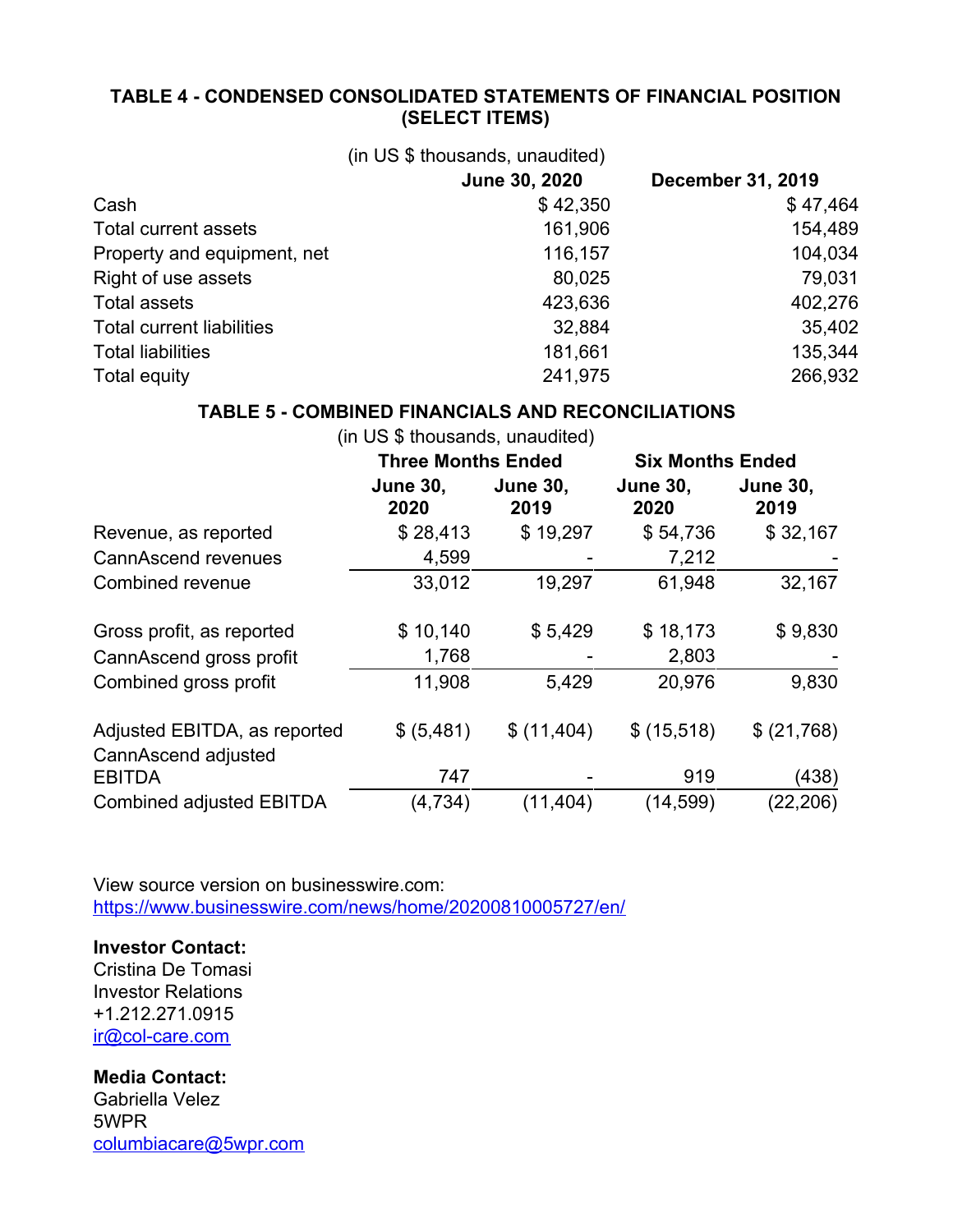#### **TABLE 4 - CONDENSED CONSOLIDATED STATEMENTS OF FINANCIAL POSITION (SELECT ITEMS)**

(in US \$ thousands, unaudited)

|                                  | June 30, 2020 | <b>December 31, 2019</b> |
|----------------------------------|---------------|--------------------------|
| Cash                             | \$42,350      | \$47,464                 |
| <b>Total current assets</b>      | 161,906       | 154,489                  |
| Property and equipment, net      | 116,157       | 104,034                  |
| Right of use assets              | 80,025        | 79,031                   |
| <b>Total assets</b>              | 423,636       | 402,276                  |
| <b>Total current liabilities</b> | 32,884        | 35,402                   |
| <b>Total liabilities</b>         | 181,661       | 135,344                  |
| Total equity                     | 241,975       | 266,932                  |

#### **TABLE 5 - COMBINED FINANCIALS AND RECONCILIATIONS**

(in US \$ thousands, unaudited) **Three Months Ended Six Months Ended June 30, 2020 June 30, 2019 June 30, 2020 June 30, 2019** Revenue, as reported  $$28,413$   $$19,297$   $$54,736$   $$32,167$ CannAscend revenues 4,599 - 7,212 Combined revenue 33,012 19,297 61,948 32,167 Gross profit, as reported  $$10,140$   $$5,429$   $$18,173$   $$9,830$ CannAscend gross profit 1,768 - 2,803 Combined gross profit 11,908 5,429 20,976 9,830 Adjusted EBITDA, as reported  $$ (5,481) \$ (11,404) \$ (15,518) \$ (21,768)$ CannAscend adjusted EBITDA 747 - 919 (438) Combined adjusted EBITDA (4,734) (11,404) (14,599) (22,206)

View source version on businesswire.com: <https://www.businesswire.com/news/home/20200810005727/en/>

## **Investor Contact:**

Cristina De Tomasi Investor Relations +1.212.271.0915 [ir@col-care.com](mailto:ir@col-care.com)

**Media Contact:** Gabriella Velez 5WPR [columbiacare@5wpr.com](mailto:columbiacare@5wpr.com)